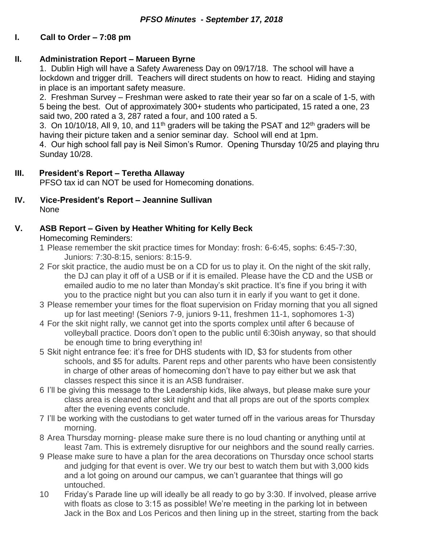## **I. Call to Order – 7:08 pm**

### **II. Administration Report – Marueen Byrne**

1. Dublin High will have a Safety Awareness Day on 09/17/18. The school will have a lockdown and trigger drill. Teachers will direct students on how to react. Hiding and staying in place is an important safety measure.

2. Freshman Survey – Freshman were asked to rate their year so far on a scale of 1-5, with 5 being the best. Out of approximately 300+ students who participated, 15 rated a one, 23 said two, 200 rated a 3, 287 rated a four, and 100 rated a 5.

3. On 10/10/18, All 9, 10, and 11<sup>th</sup> graders will be taking the PSAT and 12<sup>th</sup> graders will be having their picture taken and a senior seminar day. School will end at 1pm.

4. Our high school fall pay is Neil Simon's Rumor. Opening Thursday 10/25 and playing thru Sunday 10/28.

#### **III. President's Report – Teretha Allaway**

PFSO tax id can NOT be used for Homecoming donations.

**IV. Vice-President's Report – Jeannine Sullivan** None

### **V. ASB Report – Given by Heather Whiting for Kelly Beck**

Homecoming Reminders:

- 1 Please remember the skit practice times for Monday: frosh: 6-6:45, sophs: 6:45-7:30, Juniors: 7:30-8:15, seniors: 8:15-9.
- 2 For skit practice, the audio must be on a CD for us to play it. On the night of the skit rally, the DJ can play it off of a USB or if it is emailed. Please have the CD and the USB or emailed audio to me no later than Monday's skit practice. It's fine if you bring it with you to the practice night but you can also turn it in early if you want to get it done.
- 3 Please remember your times for the float supervision on Friday morning that you all signed up for last meeting! (Seniors 7-9, juniors 9-11, freshmen 11-1, sophomores 1-3)
- 4 For the skit night rally, we cannot get into the sports complex until after 6 because of volleyball practice. Doors don't open to the public until 6:30ish anyway, so that should be enough time to bring everything in!
- 5 Skit night entrance fee: it's free for DHS students with ID, \$3 for students from other schools, and \$5 for adults. Parent reps and other parents who have been consistently in charge of other areas of homecoming don't have to pay either but we ask that classes respect this since it is an ASB fundraiser.
- 6 I'll be giving this message to the Leadership kids, like always, but please make sure your class area is cleaned after skit night and that all props are out of the sports complex after the evening events conclude.
- 7 I'll be working with the custodians to get water turned off in the various areas for Thursday morning.
- 8 Area Thursday morning- please make sure there is no loud chanting or anything until at least 7am. This is extremely disruptive for our neighbors and the sound really carries.
- 9 Please make sure to have a plan for the area decorations on Thursday once school starts and judging for that event is over. We try our best to watch them but with 3,000 kids and a lot going on around our campus, we can't guarantee that things will go untouched.
- 10 Friday's Parade line up will ideally be all ready to go by 3:30. If involved, please arrive with floats as close to 3:15 as possible! We're meeting in the parking lot in between Jack in the Box and Los Pericos and then lining up in the street, starting from the back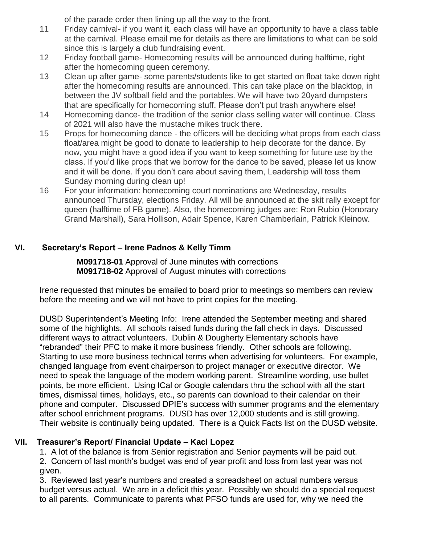of the parade order then lining up all the way to the front.

- 11 Friday carnival- if you want it, each class will have an opportunity to have a class table at the carnival. Please email me for details as there are limitations to what can be sold since this is largely a club fundraising event.
- 12 Friday football game- Homecoming results will be announced during halftime, right after the homecoming queen ceremony.
- 13 Clean up after game- some parents/students like to get started on float take down right after the homecoming results are announced. This can take place on the blacktop, in between the JV softball field and the portables. We will have two 20yard dumpsters that are specifically for homecoming stuff. Please don't put trash anywhere else!
- 14 Homecoming dance- the tradition of the senior class selling water will continue. Class of 2021 will also have the mustache mikes truck there.
- 15 Props for homecoming dance the officers will be deciding what props from each class float/area might be good to donate to leadership to help decorate for the dance. By now, you might have a good idea if you want to keep something for future use by the class. If you'd like props that we borrow for the dance to be saved, please let us know and it will be done. If you don't care about saving them, Leadership will toss them Sunday morning during clean up!
- 16 For your information: homecoming court nominations are Wednesday, results announced Thursday, elections Friday. All will be announced at the skit rally except for queen (halftime of FB game). Also, the homecoming judges are: Ron Rubio (Honorary Grand Marshall), Sara Hollison, Adair Spence, Karen Chamberlain, Patrick Kleinow.

# **VI. Secretary's Report – Irene Padnos & Kelly Timm**

**M091718-01** Approval of June minutes with corrections **M091718-02** Approval of August minutes with corrections

Irene requested that minutes be emailed to board prior to meetings so members can review before the meeting and we will not have to print copies for the meeting.

DUSD Superintendent's Meeting Info: Irene attended the September meeting and shared some of the highlights. All schools raised funds during the fall check in days. Discussed different ways to attract volunteers. Dublin & Dougherty Elementary schools have "rebranded" their PFC to make it more business friendly. Other schools are following. Starting to use more business technical terms when advertising for volunteers. For example, changed language from event chairperson to project manager or executive director. We need to speak the language of the modern working parent. Streamline wording, use bullet points, be more efficient. Using ICal or Google calendars thru the school with all the start times, dismissal times, holidays, etc., so parents can download to their calendar on their phone and computer. Discussed DPIE's success with summer programs and the elementary after school enrichment programs. DUSD has over 12,000 students and is still growing. Their website is continually being updated. There is a Quick Facts list on the DUSD website.

## **VII. Treasurer's Report/ Financial Update – Kaci Lopez**

1. A lot of the balance is from Senior registration and Senior payments will be paid out.

2. Concern of last month's budget was end of year profit and loss from last year was not given.

3. Reviewed last year's numbers and created a spreadsheet on actual numbers versus budget versus actual. We are in a deficit this year. Possibly we should do a special request to all parents. Communicate to parents what PFSO funds are used for, why we need the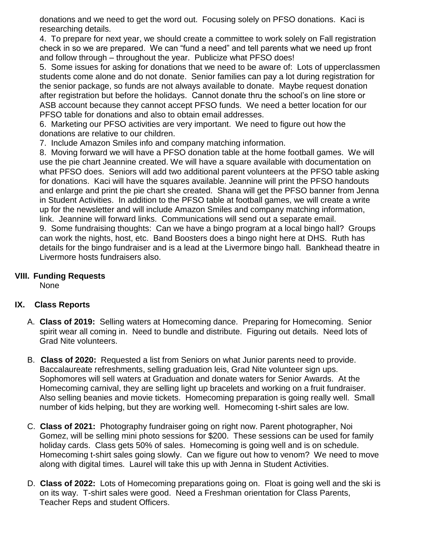donations and we need to get the word out. Focusing solely on PFSO donations. Kaci is researching details.

4. To prepare for next year, we should create a committee to work solely on Fall registration check in so we are prepared. We can "fund a need" and tell parents what we need up front and follow through – throughout the year. Publicize what PFSO does!

5. Some issues for asking for donations that we need to be aware of: Lots of upperclassmen students come alone and do not donate. Senior families can pay a lot during registration for the senior package, so funds are not always available to donate. Maybe request donation after registration but before the holidays. Cannot donate thru the school's on line store or ASB account because they cannot accept PFSO funds. We need a better location for our PFSO table for donations and also to obtain email addresses.

6. Marketing our PFSO activities are very important. We need to figure out how the donations are relative to our children.

7. Include Amazon Smiles info and company matching information.

8. Moving forward we will have a PFSO donation table at the home football games. We will use the pie chart Jeannine created. We will have a square available with documentation on what PFSO does. Seniors will add two additional parent volunteers at the PFSO table asking for donations. Kaci will have the squares available. Jeannine will print the PFSO handouts and enlarge and print the pie chart she created. Shana will get the PFSO banner from Jenna in Student Activities. In addition to the PFSO table at football games, we will create a write up for the newsletter and will include Amazon Smiles and company matching information, link. Jeannine will forward links. Communications will send out a separate email. 9. Some fundraising thoughts: Can we have a bingo program at a local bingo hall? Groups can work the nights, host, etc. Band Boosters does a bingo night here at DHS. Ruth has details for the bingo fundraiser and is a lead at the Livermore bingo hall. Bankhead theatre in Livermore hosts fundraisers also.

### **VIII. Funding Requests**

None

## **IX. Class Reports**

- A. **Class of 2019:** Selling waters at Homecoming dance. Preparing for Homecoming. Senior spirit wear all coming in. Need to bundle and distribute. Figuring out details. Need lots of Grad Nite volunteers.
- B. **Class of 2020:** Requested a list from Seniors on what Junior parents need to provide. Baccalaureate refreshments, selling graduation leis, Grad Nite volunteer sign ups. Sophomores will sell waters at Graduation and donate waters for Senior Awards. At the Homecoming carnival, they are selling light up bracelets and working on a fruit fundraiser. Also selling beanies and movie tickets. Homecoming preparation is going really well. Small number of kids helping, but they are working well. Homecoming t-shirt sales are low.
- C. **Class of 2021:** Photography fundraiser going on right now. Parent photographer, Noi Gomez, will be selling mini photo sessions for \$200. These sessions can be used for family holiday cards. Class gets 50% of sales. Homecoming is going well and is on schedule. Homecoming t-shirt sales going slowly. Can we figure out how to venom? We need to move along with digital times. Laurel will take this up with Jenna in Student Activities.
- D. **Class of 2022:** Lots of Homecoming preparations going on. Float is going well and the ski is on its way. T-shirt sales were good. Need a Freshman orientation for Class Parents, Teacher Reps and student Officers.